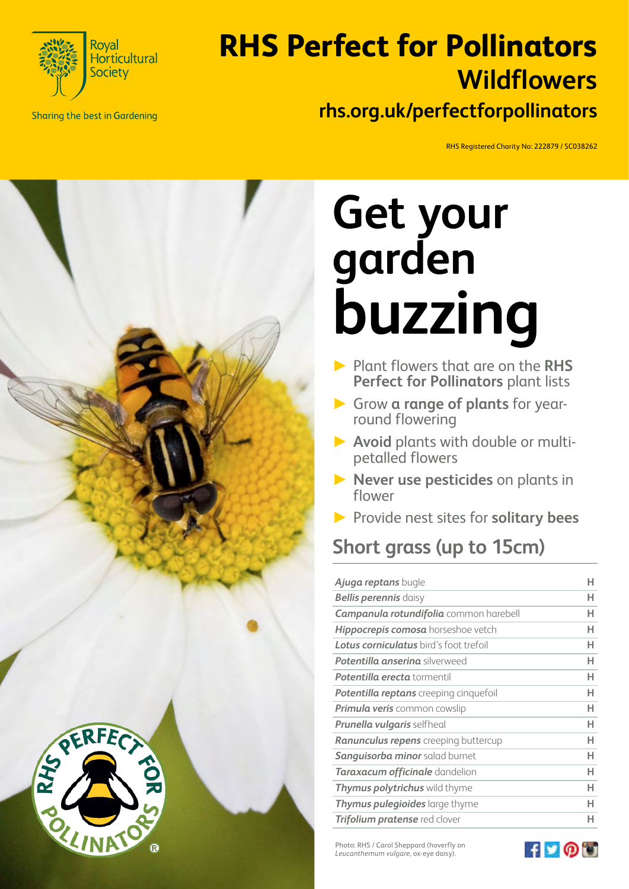

**Sharing the best in Gardening** 

# **RHS Perfect for Pollinators rhs.org.uk/perfectforpollinators Wildflowers**

RHS Registered Charity No: 222879 / SC038262



# **Get your garden buzzing**

- ► Plant flowers that are on the **RHS Perfect for Pollinators** plant lists
- ► Grow **a range of plants** for yearround flowering
- ► **Avoid** plants with double or multipetalled flowers
- ► **Never use pesticides** on plants in flower
- ► Provide nest sites for **solitary bees**

## **Short grass (up to 15cm)**

| Ajuga reptans bugle                           |   |
|-----------------------------------------------|---|
| <b>Bellis perennis</b> daisy                  | н |
| <b>Campanula rotundifolia</b> common harebell | н |
| <b>Hippocrepis comosa</b> horseshoe vetch     | н |
| <b>Lotus corniculatus</b> bird's foot trefoil | н |
| <b>Potentilla anserina</b> silverweed         | н |
| <b>Potentilla erecta</b> tormentil            | н |
| <b>Potentilla reptans</b> creeping cinquefoil | н |
| Primula veris common cowslip                  | н |
| <b>Prunella vulgaris</b> selfheal             | н |
| <b>Ranunculus repens</b> creeping buttercup   | н |
| <b>Sanguisorba minor</b> salad burnet         | н |
| <b>Taraxacum officinale</b> dandelion         | н |
| Thymus polytrichus wild thyme                 | н |
| <b>Thymus pulegioides</b> large thyme         | н |
| <b>Trifolium pratense</b> red clover          |   |

Photo: RHS / Carol Sheppard (hoverfly on *Leucanthemum vulgare*, ox-eye daisy).

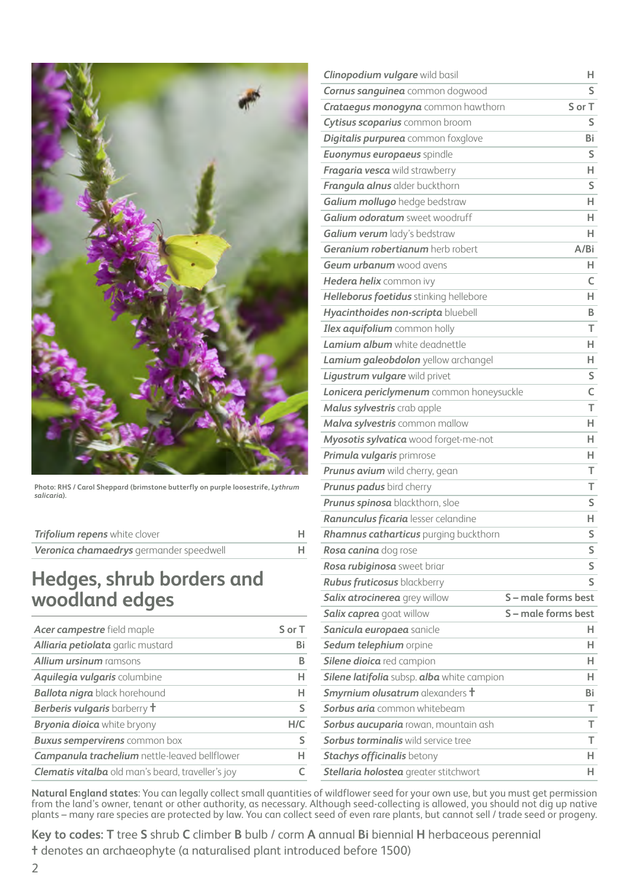

**Photo: RHS / Carol Sheppard (brimstone butterfly on purple loosestrife,** *Lythrum salicaria***).** 

| <b>Trifolium repens</b> white clover    |  |
|-----------------------------------------|--|
| Veronica chamaedrys germander speedwell |  |

#### **Hedges, shrub borders and woodland edges**

| Acer campestre field maple                               | S or T |
|----------------------------------------------------------|--------|
| Alliaria petiolata garlic mustard                        | Bi     |
| <b>Allium ursinum</b> ramsons                            | в      |
| <b>Aquilegia vulgaris columbine</b>                      | н      |
| <b>Ballota nigra</b> black horehound                     | н      |
| <b>Berberis vulgaris</b> barberry <b>t</b>               | ς      |
| <b>Bryonia dioica</b> white bryony                       | H/C    |
| <b>Buxus sempervirens</b> common box                     | S      |
| <b>Campanula trachelium</b> nettle-leaved bellflower     | н      |
| <b>Clematis vitalba</b> old man's beard, traveller's joy |        |
|                                                          |        |

| Clinopodium vulgare wild basil             | H.                  |
|--------------------------------------------|---------------------|
| <b>Cornus sanguinea</b> common dogwood     | S                   |
| <b>Crataegus monogyna</b> common hawthorn  | S or T              |
| Cytisus scoparius common broom             | S                   |
| Digitalis purpurea common foxglove         | Bi                  |
| <b>Euonymus europaeus</b> spindle          | S                   |
| Fragaria vesca wild strawberry             | H.                  |
| Frangula alnus alder buckthorn             | S                   |
| Galium mollugo hedge bedstraw              | H.                  |
| Galium odoratum sweet woodruff             | н                   |
| Galium verum lady's bedstraw               | H.                  |
| Geranium robertianum herb robert           | A/Bi                |
| <b>Geum urbanum</b> wood avens             | н.                  |
| Hedera helix common ivy                    | C                   |
| Helleborus foetidus stinking hellebore     | H.                  |
| Hyacinthoides non-scripta bluebell         | B                   |
| Ilex aquifolium common holly               | т                   |
| <b>Lamium album</b> white deadnettle       | н                   |
| Lamium galeobdolon yellow archangel        | н.                  |
| Ligustrum vulgare wild privet              | S                   |
| Lonicera periclymenum common honeysuckle   | C                   |
| Malus sylvestris crab apple                | T                   |
| Malva sylvestris common mallow             | н                   |
| Myosotis sylvatica wood forget-me-not      | н                   |
| Primula vulgaris primrose                  | н.                  |
| Prunus avium wild cherry, gean             | Т                   |
| <b>Prunus padus</b> bird cherry            | т                   |
| Prunus spinosa blackthorn, sloe            | S                   |
| Ranunculus ficaria lesser celandine        | н.                  |
| Rhamnus catharticus purging buckthorn      | S                   |
| Rosa canina dog rose                       | S                   |
| Rosa rubiginosa sweet briar                | S                   |
| <b>Rubus fruticosus</b> blackberry         | S                   |
| <b>Salix atrocinerea</b> grey willow       | S - male forms best |
| <b>Salix caprea</b> goat willow            | S - male forms best |
| Sanicula europaea sanicle                  | н                   |
| Sedum telephium orpine                     | H.                  |
| Silene dioica red campion                  | н                   |
| Silene latifolia subsp. alba white campion | H.                  |
| Smyrnium olusatrum alexanders t            | Bi                  |
| <b>Sorbus aria</b> common whitebeam        | т                   |
| Sorbus aucuparia rowan, mountain ash       | т                   |
| <b>Sorbus torminalis</b> wild service tree | т                   |
| <b>Stachys officinalis betony</b>          | н                   |
| Stellaria holostea greater stitchwort      | H.                  |

**Natural England states**: You can legally collect small quantities of wildflower seed for your own use, but you must get permission from the land's owner, tenant or other authority, as necessary. Although seed-collecting is allowed, you should not dig up native plants – many rare species are protected by law. You can collect seed of even rare plants, but cannot sell / trade seed or progeny.

**Key to codes: T** tree **S** shrub **C** climber **B** bulb / corm **A** annual **Bi** biennial **H** herbaceous perennial **†** denotes an archaeophyte (a naturalised plant introduced before 1500)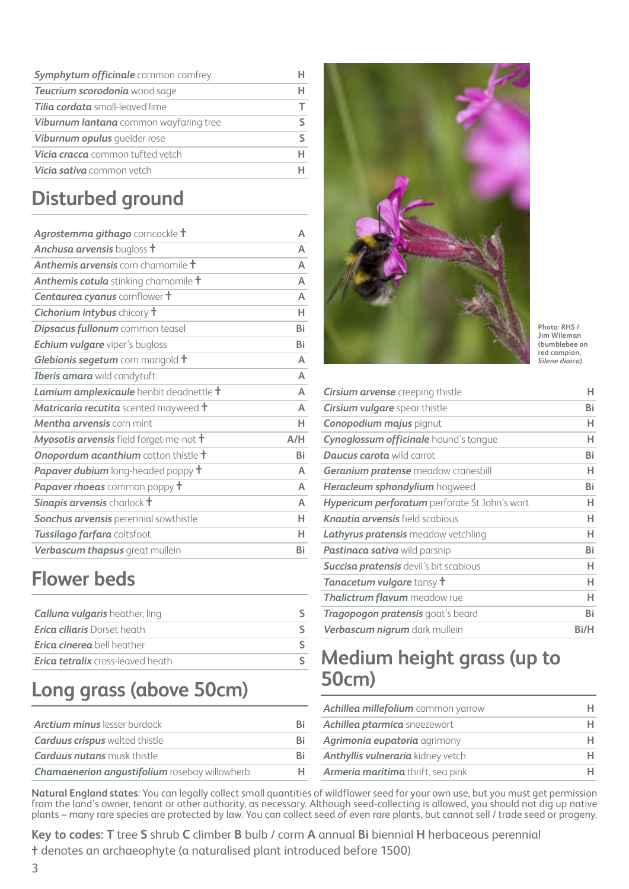| <b>Symphytum officinale</b> common comfrey    |  |
|-----------------------------------------------|--|
| Teucrium scorodonia wood sage                 |  |
| <b>Tilia cordata</b> small-leaved lime        |  |
| <b>Viburnum lantana</b> common wayfaring tree |  |
| Viburnum opulus guelder rose                  |  |
| <b>Vicia cracca</b> common tufted vetch       |  |
| Vicia sativa common vetch                     |  |

# **Disturbed ground**

| Agrostemma githago corncockle t                      | A         |
|------------------------------------------------------|-----------|
| <b>Anchusa arvensis</b> bugloss <b>t</b>             | A         |
| <b>Anthemis arvensis</b> corn chamomile <b>t</b>     | A         |
| Anthemis cotula stinking chamomile t                 | A         |
| <b>Centaurea cyanus</b> cornflower t                 | A         |
| <b>Cichorium intybus</b> chicory <b>t</b>            | н         |
| Dipsacus fullonum common teasel                      | <b>Bi</b> |
| <b>Echium vulgare</b> viper's bugloss                | <b>Bi</b> |
| Glebionis segetum corn marigold t                    | A         |
| Iberis amara wild candytuft                          | A         |
| Lamium amplexicaule henbit deadnettle t              | A         |
| <b>Matricaria recutita</b> scented mayweed $\dagger$ | Δ         |
| Mentha arvensis corn mint                            | н         |
| Myosotis arvensis field forget-me-not t              | A/H       |
| <b>Onopordum acanthium</b> cotton thistle <b>t</b>   | Bi        |
| <b>Papaver dubium</b> long-headed poppy <b>t</b>     | $\Delta$  |
| Papaver rhoeas common poppy t                        | A         |
| Sinapis arvensis charlock t                          | A         |
| Sonchus arvensis perennial sowthistle                | н         |
| Tussilago farfara coltsfoot                          | н         |
| Verbascum thapsus great mullein                      | Bi        |
|                                                      |           |

#### **Flower beds**

| <b>Calluna vulgaris</b> heather, ling    |  |
|------------------------------------------|--|
| <b>Erica ciliaris</b> Dorset heath       |  |
| <b>Erica cinerea</b> bell heather        |  |
| <b>Erica tetralix</b> cross-leaved heath |  |

## **Long grass (above 50cm)**

| <b>Arctium minus</b> lesser burdock           |    |
|-----------------------------------------------|----|
| <b>Carduus crispus</b> welted thistle         | Ri |
| <b>Carduus nutans</b> musk thistle            | Ri |
| Chamaenerion angustifolium rosebay willowherb |    |



**Photo: RHS / Jim Wileman (bumblebee on red campion,**  *Silene dioica***).**

| <b>Cirsium arvense</b> creeping thistle              | н    |
|------------------------------------------------------|------|
| <b>Cirsium vulgare</b> spear thistle                 | Bi   |
| <b>Conopodium majus</b> pignut                       | н    |
| Cynoglossum officinale hound's tonque                | н    |
| <b>Daucus carota</b> wild carrot                     | Bi   |
| <b>Geranium pratense</b> meadow cranesbill           | н    |
| <b>Heracleum sphondylium</b> hogweed                 | Bi   |
| <b>Hypericum perforatum</b> perforate St John's wort | н    |
| <b>Knautia arvensis</b> field scabious               | н    |
| <b>Lathyrus pratensis</b> meadow vetchling           | н    |
| <b>Pastinaca sativa</b> wild parsnip                 | Bi   |
| Succisa pratensis devil's bit scabious               | н    |
| <b>Tanacetum vulgare</b> tansy <b>t</b>              | н    |
| <b>Thalictrum flavum</b> meadow rue                  | н    |
| <b>Tragopogon pratensis</b> goat's beard             | Bi   |
| Verbascum nigrum dark mullein                        | Bi/H |

#### **Medium height grass (up to 50cm)**

| Achillea millefolium common yarrow  |  |
|-------------------------------------|--|
| <b>Achillea ptarmica</b> sneezewort |  |
| Agrimonia eupatoria agrimony        |  |
| Anthyllis vulneraria kidney vetch   |  |
| Armeria maritima thrift, sea pink   |  |

**Natural England states**: You can legally collect small quantities of wildflower seed for your own use, but you must get permission from the land's owner, tenant or other authority, as necessary. Although seed-collecting is allowed, you should not dig up native plants – many rare species are protected by law. You can collect seed of even rare plants, but cannot sell / trade seed or progeny.

**Key to codes: T** tree **S** shrub **C** climber **B** bulb / corm **A** annual **Bi** biennial **H** herbaceous perennial **†** denotes an archaeophyte (a naturalised plant introduced before 1500)